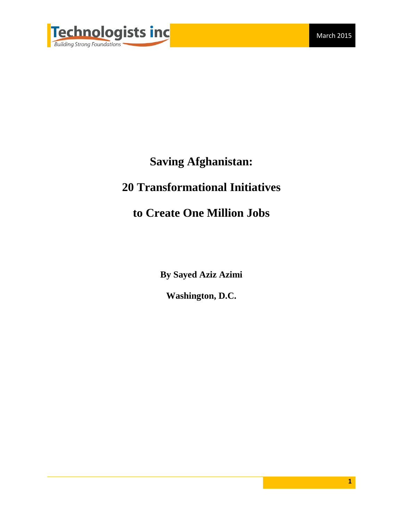

# **Saving Afghanistan:**

# **20 Transformational Initiatives**

# **to Create One Million Jobs**

**By Sayed Aziz Azimi**

**Washington, D.C.**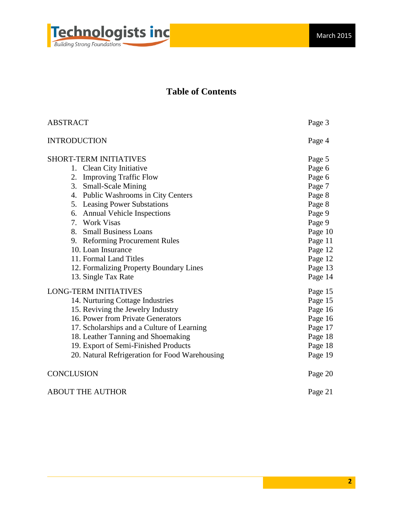

# **Table of Contents**

| <b>ABSTRACT</b>                                | Page 3  |
|------------------------------------------------|---------|
| <b>INTRODUCTION</b>                            | Page 4  |
| <b>SHORT-TERM INITIATIVES</b>                  | Page 5  |
| 1. Clean City Initiative                       | Page 6  |
| 2. Improving Traffic Flow                      | Page 6  |
| 3. Small-Scale Mining                          | Page 7  |
| 4. Public Washrooms in City Centers            | Page 8  |
| 5. Leasing Power Substations                   | Page 8  |
| 6. Annual Vehicle Inspections                  | Page 9  |
| 7. Work Visas                                  | Page 9  |
| 8. Small Business Loans                        | Page 10 |
| 9. Reforming Procurement Rules                 | Page 11 |
| 10. Loan Insurance                             | Page 12 |
| 11. Formal Land Titles                         | Page 12 |
| 12. Formalizing Property Boundary Lines        | Page 13 |
| 13. Single Tax Rate                            | Page 14 |
| <b>LONG-TERM INITIATIVES</b>                   | Page 15 |
| 14. Nurturing Cottage Industries               | Page 15 |
| 15. Reviving the Jewelry Industry              | Page 16 |
| 16. Power from Private Generators              | Page 16 |
| 17. Scholarships and a Culture of Learning     | Page 17 |
| 18. Leather Tanning and Shoemaking             | Page 18 |
| 19. Export of Semi-Finished Products           | Page 18 |
| 20. Natural Refrigeration for Food Warehousing | Page 19 |
| CONCLUSION                                     | Page 20 |
| <b>ABOUT THE AUTHOR</b>                        | Page 21 |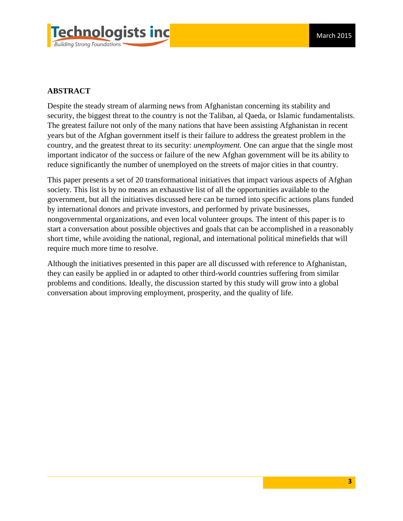

# **ABSTRACT**

Despite the steady stream of alarming news from Afghanistan concerning its stability and security, the biggest threat to the country is not the Taliban, al Qaeda, or Islamic fundamentalists. The greatest failure not only of the many nations that have been assisting Afghanistan in recent years but of the Afghan government itself is their failure to address the greatest problem in the country, and the greatest threat to its security: *unemployment.* One can argue that the single most important indicator of the success or failure of the new Afghan government will be its ability to reduce significantly the number of unemployed on the streets of major cities in that country.

This paper presents a set of 20 transformational initiatives that impact various aspects of Afghan society. This list is by no means an exhaustive list of all the opportunities available to the government, but all the initiatives discussed here can be turned into specific actions plans funded by international donors and private investors, and performed by private businesses, nongovernmental organizations, and even local volunteer groups. The intent of this paper is to start a conversation about possible objectives and goals that can be accomplished in a reasonably short time, while avoiding the national, regional, and international political minefields that will require much more time to resolve.

Although the initiatives presented in this paper are all discussed with reference to Afghanistan, they can easily be applied in or adapted to other third-world countries suffering from similar problems and conditions. Ideally, the discussion started by this study will grow into a global conversation about improving employment, prosperity, and the quality of life.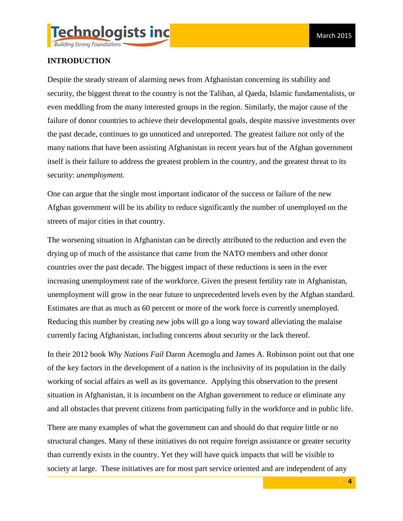

# **INTRODUCTION**

Despite the steady stream of alarming news from Afghanistan concerning its stability and security, the biggest threat to the country is not the Taliban, al Qaeda, Islamic fundamentalists, or even meddling from the many interested groups in the region. Similarly, the major cause of the failure of donor countries to achieve their developmental goals, despite massive investments over the past decade, continues to go unnoticed and unreported. The greatest failure not only of the many nations that have been assisting Afghanistan in recent years but of the Afghan government itself is their failure to address the greatest problem in the country, and the greatest threat to its security: *unemployment.* 

One can argue that the single most important indicator of the success or failure of the new Afghan government will be its ability to reduce significantly the number of unemployed on the streets of major cities in that country.

The worsening situation in Afghanistan can be directly attributed to the reduction and even the drying up of much of the assistance that came from the NATO members and other donor countries over the past decade. The biggest impact of these reductions is seen in the ever increasing unemployment rate of the workforce. Given the present fertility rate in Afghanistan, unemployment will grow in the near future to unprecedented levels even by the Afghan standard. Estimates are that as much as 60 percent or more of the work force is currently unemployed. Reducing this number by creating new jobs will go a long way toward alleviating the malaise currently facing Afghanistan, including concerns about security or the lack thereof.

In their 2012 book *Why Nations Fail* Daron Acemoglu and James A. Robinson point out that one of the key factors in the development of a nation is the inclusivity of its population in the daily working of social affairs as well as its governance. Applying this observation to the present situation in Afghanistan, it is incumbent on the Afghan government to reduce or eliminate any and all obstacles that prevent citizens from participating fully in the workforce and in public life.

There are many examples of what the government can and should do that require little or no structural changes. Many of these initiatives do not require foreign assistance or greater security than currently exists in the country. Yet they will have quick impacts that will be visible to society at large. These initiatives are for most part service oriented and are independent of any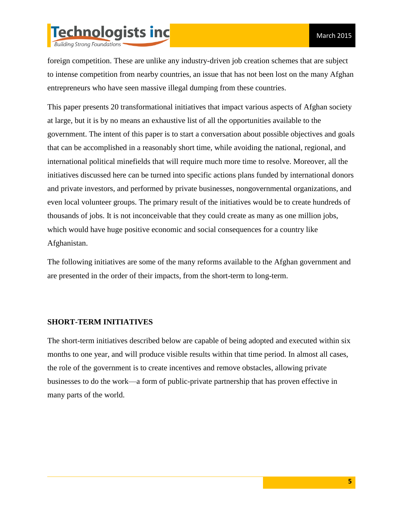

foreign competition. These are unlike any industry-driven job creation schemes that are subject to intense competition from nearby countries, an issue that has not been lost on the many Afghan entrepreneurs who have seen massive illegal dumping from these countries.

This paper presents 20 transformational initiatives that impact various aspects of Afghan society at large, but it is by no means an exhaustive list of all the opportunities available to the government. The intent of this paper is to start a conversation about possible objectives and goals that can be accomplished in a reasonably short time, while avoiding the national, regional, and international political minefields that will require much more time to resolve. Moreover, all the initiatives discussed here can be turned into specific actions plans funded by international donors and private investors, and performed by private businesses, nongovernmental organizations, and even local volunteer groups. The primary result of the initiatives would be to create hundreds of thousands of jobs. It is not inconceivable that they could create as many as one million jobs, which would have huge positive economic and social consequences for a country like Afghanistan.

The following initiatives are some of the many reforms available to the Afghan government and are presented in the order of their impacts, from the short-term to long-term.

#### **SHORT-TERM INITIATIVES**

The short-term initiatives described below are capable of being adopted and executed within six months to one year, and will produce visible results within that time period. In almost all cases, the role of the government is to create incentives and remove obstacles, allowing private businesses to do the work—a form of public-private partnership that has proven effective in many parts of the world.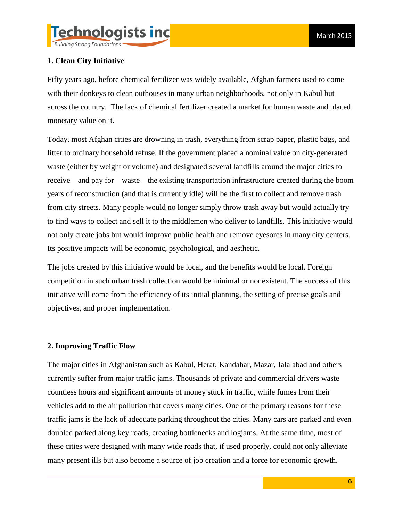

# **1. Clean City Initiative**

Fifty years ago, before chemical fertilizer was widely available, Afghan farmers used to come with their donkeys to clean outhouses in many urban neighborhoods, not only in Kabul but across the country. The lack of chemical fertilizer created a market for human waste and placed monetary value on it.

Today, most Afghan cities are drowning in trash, everything from scrap paper, plastic bags, and litter to ordinary household refuse. If the government placed a nominal value on city-generated waste (either by weight or volume) and designated several landfills around the major cities to receive—and pay for—waste—the existing transportation infrastructure created during the boom years of reconstruction (and that is currently idle) will be the first to collect and remove trash from city streets. Many people would no longer simply throw trash away but would actually try to find ways to collect and sell it to the middlemen who deliver to landfills. This initiative would not only create jobs but would improve public health and remove eyesores in many city centers. Its positive impacts will be economic, psychological, and aesthetic.

The jobs created by this initiative would be local, and the benefits would be local. Foreign competition in such urban trash collection would be minimal or nonexistent. The success of this initiative will come from the efficiency of its initial planning, the setting of precise goals and objectives, and proper implementation.

#### **2. Improving Traffic Flow**

The major cities in Afghanistan such as Kabul, Herat, Kandahar, Mazar, Jalalabad and others currently suffer from major traffic jams. Thousands of private and commercial drivers waste countless hours and significant amounts of money stuck in traffic, while fumes from their vehicles add to the air pollution that covers many cities. One of the primary reasons for these traffic jams is the lack of adequate parking throughout the cities. Many cars are parked and even doubled parked along key roads, creating bottlenecks and logjams. At the same time, most of these cities were designed with many wide roads that, if used properly, could not only alleviate many present ills but also become a source of job creation and a force for economic growth.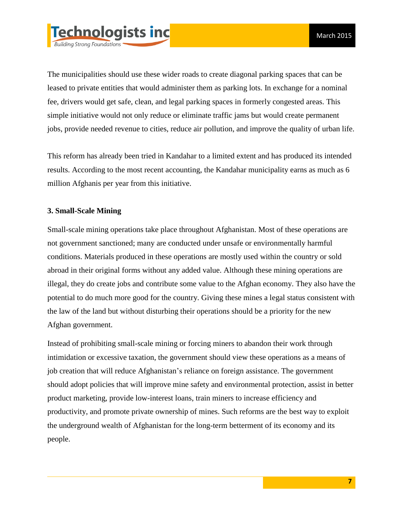

The municipalities should use these wider roads to create diagonal parking spaces that can be leased to private entities that would administer them as parking lots. In exchange for a nominal fee, drivers would get safe, clean, and legal parking spaces in formerly congested areas. This simple initiative would not only reduce or eliminate traffic jams but would create permanent jobs, provide needed revenue to cities, reduce air pollution, and improve the quality of urban life.

This reform has already been tried in Kandahar to a limited extent and has produced its intended results. According to the most recent accounting, the Kandahar municipality earns as much as 6 million Afghanis per year from this initiative.

#### **3. Small-Scale Mining**

Small-scale mining operations take place throughout Afghanistan. Most of these operations are not government sanctioned; many are conducted under unsafe or environmentally harmful conditions. Materials produced in these operations are mostly used within the country or sold abroad in their original forms without any added value. Although these mining operations are illegal, they do create jobs and contribute some value to the Afghan economy. They also have the potential to do much more good for the country. Giving these mines a legal status consistent with the law of the land but without disturbing their operations should be a priority for the new Afghan government.

Instead of prohibiting small-scale mining or forcing miners to abandon their work through intimidation or excessive taxation, the government should view these operations as a means of job creation that will reduce Afghanistan's reliance on foreign assistance. The government should adopt policies that will improve mine safety and environmental protection, assist in better product marketing, provide low-interest loans, train miners to increase efficiency and productivity, and promote private ownership of mines. Such reforms are the best way to exploit the underground wealth of Afghanistan for the long-term betterment of its economy and its people.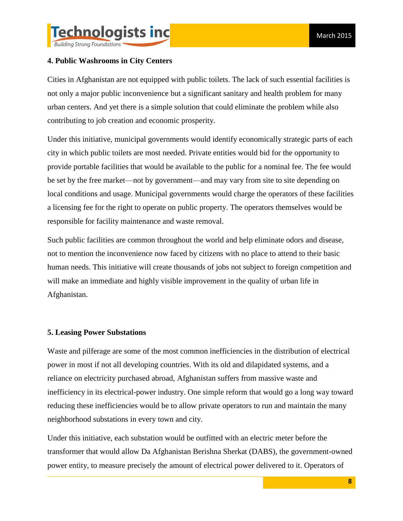

**Building Strong Foundations** 

# **4. Public Washrooms in City Centers**

Cities in Afghanistan are not equipped with public toilets. The lack of such essential facilities is not only a major public inconvenience but a significant sanitary and health problem for many urban centers. And yet there is a simple solution that could eliminate the problem while also contributing to job creation and economic prosperity.

Under this initiative, municipal governments would identify economically strategic parts of each city in which public toilets are most needed. Private entities would bid for the opportunity to provide portable facilities that would be available to the public for a nominal fee. The fee would be set by the free market—not by government—and may vary from site to site depending on local conditions and usage. Municipal governments would charge the operators of these facilities a licensing fee for the right to operate on public property. The operators themselves would be responsible for facility maintenance and waste removal.

Such public facilities are common throughout the world and help eliminate odors and disease, not to mention the inconvenience now faced by citizens with no place to attend to their basic human needs. This initiative will create thousands of jobs not subject to foreign competition and will make an immediate and highly visible improvement in the quality of urban life in Afghanistan.

### **5. Leasing Power Substations**

Waste and pilferage are some of the most common inefficiencies in the distribution of electrical power in most if not all developing countries. With its old and dilapidated systems, and a reliance on electricity purchased abroad, Afghanistan suffers from massive waste and inefficiency in its electrical-power industry. One simple reform that would go a long way toward reducing these inefficiencies would be to allow private operators to run and maintain the many neighborhood substations in every town and city.

Under this initiative, each substation would be outfitted with an electric meter before the transformer that would allow Da Afghanistan Berishna Sherkat (DABS), the government-owned power entity, to measure precisely the amount of electrical power delivered to it. Operators of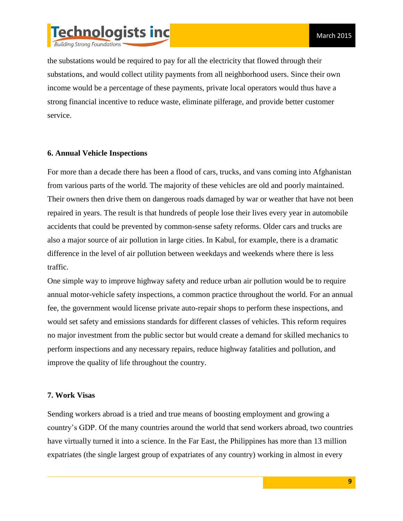

the substations would be required to pay for all the electricity that flowed through their substations, and would collect utility payments from all neighborhood users. Since their own income would be a percentage of these payments, private local operators would thus have a strong financial incentive to reduce waste, eliminate pilferage, and provide better customer service.

#### **6. Annual Vehicle Inspections**

For more than a decade there has been a flood of cars, trucks, and vans coming into Afghanistan from various parts of the world. The majority of these vehicles are old and poorly maintained. Their owners then drive them on dangerous roads damaged by war or weather that have not been repaired in years. The result is that hundreds of people lose their lives every year in automobile accidents that could be prevented by common-sense safety reforms. Older cars and trucks are also a major source of air pollution in large cities. In Kabul, for example, there is a dramatic difference in the level of air pollution between weekdays and weekends where there is less traffic.

One simple way to improve highway safety and reduce urban air pollution would be to require annual motor-vehicle safety inspections, a common practice throughout the world. For an annual fee, the government would license private auto-repair shops to perform these inspections, and would set safety and emissions standards for different classes of vehicles. This reform requires no major investment from the public sector but would create a demand for skilled mechanics to perform inspections and any necessary repairs, reduce highway fatalities and pollution, and improve the quality of life throughout the country.

#### **7. Work Visas**

Sending workers abroad is a tried and true means of boosting employment and growing a country's GDP. Of the many countries around the world that send workers abroad, two countries have virtually turned it into a science. In the Far East, the Philippines has more than 13 million expatriates (the single largest group of expatriates of any country) working in almost in every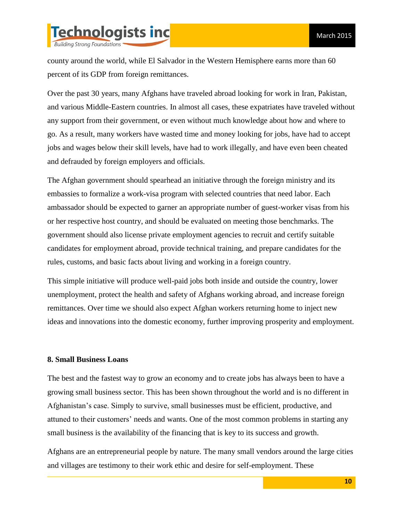

county around the world, while El Salvador in the Western Hemisphere earns more than 60 percent of its GDP from foreign remittances.

Over the past 30 years, many Afghans have traveled abroad looking for work in Iran, Pakistan, and various Middle-Eastern countries. In almost all cases, these expatriates have traveled without any support from their government, or even without much knowledge about how and where to go. As a result, many workers have wasted time and money looking for jobs, have had to accept jobs and wages below their skill levels, have had to work illegally, and have even been cheated and defrauded by foreign employers and officials.

The Afghan government should spearhead an initiative through the foreign ministry and its embassies to formalize a work-visa program with selected countries that need labor. Each ambassador should be expected to garner an appropriate number of guest-worker visas from his or her respective host country, and should be evaluated on meeting those benchmarks. The government should also license private employment agencies to recruit and certify suitable candidates for employment abroad, provide technical training, and prepare candidates for the rules, customs, and basic facts about living and working in a foreign country.

This simple initiative will produce well-paid jobs both inside and outside the country, lower unemployment, protect the health and safety of Afghans working abroad, and increase foreign remittances. Over time we should also expect Afghan workers returning home to inject new ideas and innovations into the domestic economy, further improving prosperity and employment.

#### **8. Small Business Loans**

The best and the fastest way to grow an economy and to create jobs has always been to have a growing small business sector. This has been shown throughout the world and is no different in Afghanistan's case. Simply to survive, small businesses must be efficient, productive, and attuned to their customers' needs and wants. One of the most common problems in starting any small business is the availability of the financing that is key to its success and growth.

Afghans are an entrepreneurial people by nature. The many small vendors around the large cities and villages are testimony to their work ethic and desire for self-employment. These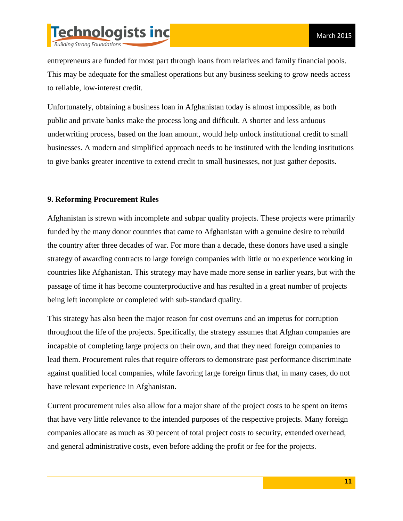

entrepreneurs are funded for most part through loans from relatives and family financial pools. This may be adequate for the smallest operations but any business seeking to grow needs access to reliable, low-interest credit.

Unfortunately, obtaining a business loan in Afghanistan today is almost impossible, as both public and private banks make the process long and difficult. A shorter and less arduous underwriting process, based on the loan amount, would help unlock institutional credit to small businesses. A modern and simplified approach needs to be instituted with the lending institutions to give banks greater incentive to extend credit to small businesses, not just gather deposits.

### **9. Reforming Procurement Rules**

Afghanistan is strewn with incomplete and subpar quality projects. These projects were primarily funded by the many donor countries that came to Afghanistan with a genuine desire to rebuild the country after three decades of war. For more than a decade, these donors have used a single strategy of awarding contracts to large foreign companies with little or no experience working in countries like Afghanistan. This strategy may have made more sense in earlier years, but with the passage of time it has become counterproductive and has resulted in a great number of projects being left incomplete or completed with sub-standard quality.

This strategy has also been the major reason for cost overruns and an impetus for corruption throughout the life of the projects. Specifically, the strategy assumes that Afghan companies are incapable of completing large projects on their own, and that they need foreign companies to lead them. Procurement rules that require offerors to demonstrate past performance discriminate against qualified local companies, while favoring large foreign firms that, in many cases, do not have relevant experience in Afghanistan.

Current procurement rules also allow for a major share of the project costs to be spent on items that have very little relevance to the intended purposes of the respective projects. Many foreign companies allocate as much as 30 percent of total project costs to security, extended overhead, and general administrative costs, even before adding the profit or fee for the projects.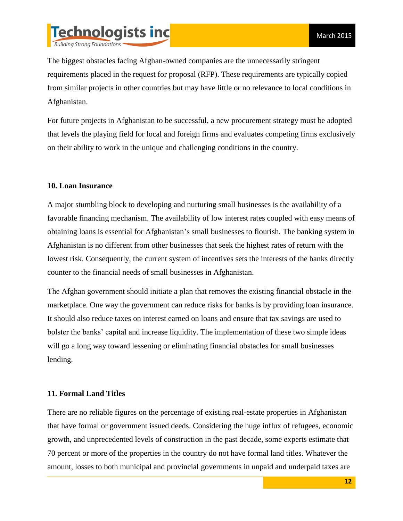

The biggest obstacles facing Afghan-owned companies are the unnecessarily stringent requirements placed in the request for proposal (RFP). These requirements are typically copied from similar projects in other countries but may have little or no relevance to local conditions in Afghanistan.

For future projects in Afghanistan to be successful, a new procurement strategy must be adopted that levels the playing field for local and foreign firms and evaluates competing firms exclusively on their ability to work in the unique and challenging conditions in the country.

### **10. Loan Insurance**

A major stumbling block to developing and nurturing small businesses is the availability of a favorable financing mechanism. The availability of low interest rates coupled with easy means of obtaining loans is essential for Afghanistan's small businesses to flourish. The banking system in Afghanistan is no different from other businesses that seek the highest rates of return with the lowest risk. Consequently, the current system of incentives sets the interests of the banks directly counter to the financial needs of small businesses in Afghanistan.

The Afghan government should initiate a plan that removes the existing financial obstacle in the marketplace. One way the government can reduce risks for banks is by providing loan insurance. It should also reduce taxes on interest earned on loans and ensure that tax savings are used to bolster the banks' capital and increase liquidity. The implementation of these two simple ideas will go a long way toward lessening or eliminating financial obstacles for small businesses lending.

#### **11. Formal Land Titles**

There are no reliable figures on the percentage of existing real-estate properties in Afghanistan that have formal or government issued deeds. Considering the huge influx of refugees, economic growth, and unprecedented levels of construction in the past decade, some experts estimate that 70 percent or more of the properties in the country do not have formal land titles. Whatever the amount, losses to both municipal and provincial governments in unpaid and underpaid taxes are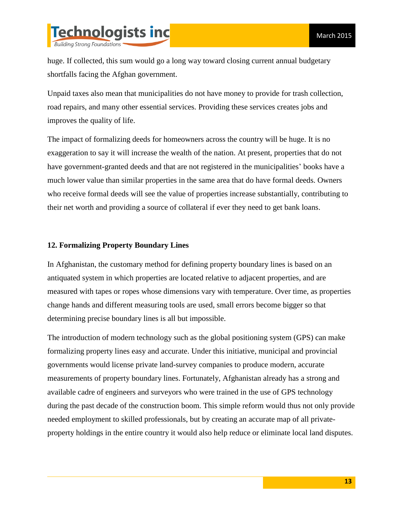

huge. If collected, this sum would go a long way toward closing current annual budgetary shortfalls facing the Afghan government.

Unpaid taxes also mean that municipalities do not have money to provide for trash collection, road repairs, and many other essential services. Providing these services creates jobs and improves the quality of life.

The impact of formalizing deeds for homeowners across the country will be huge. It is no exaggeration to say it will increase the wealth of the nation. At present, properties that do not have government-granted deeds and that are not registered in the municipalities' books have a much lower value than similar properties in the same area that do have formal deeds. Owners who receive formal deeds will see the value of properties increase substantially, contributing to their net worth and providing a source of collateral if ever they need to get bank loans.

#### **12. Formalizing Property Boundary Lines**

In Afghanistan, the customary method for defining property boundary lines is based on an antiquated system in which properties are located relative to adjacent properties, and are measured with tapes or ropes whose dimensions vary with temperature. Over time, as properties change hands and different measuring tools are used, small errors become bigger so that determining precise boundary lines is all but impossible.

The introduction of modern technology such as the global positioning system (GPS) can make formalizing property lines easy and accurate. Under this initiative, municipal and provincial governments would license private land-survey companies to produce modern, accurate measurements of property boundary lines. Fortunately, Afghanistan already has a strong and available cadre of engineers and surveyors who were trained in the use of GPS technology during the past decade of the construction boom. This simple reform would thus not only provide needed employment to skilled professionals, but by creating an accurate map of all privateproperty holdings in the entire country it would also help reduce or eliminate local land disputes.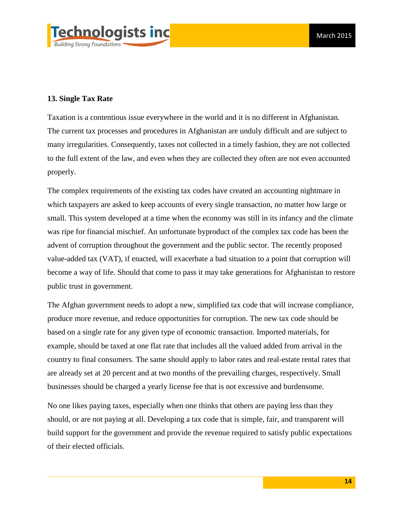

#### **13. Single Tax Rate**

Taxation is a contentious issue everywhere in the world and it is no different in Afghanistan. The current tax processes and procedures in Afghanistan are unduly difficult and are subject to many irregularities. Consequently, taxes not collected in a timely fashion, they are not collected to the full extent of the law, and even when they are collected they often are not even accounted properly.

The complex requirements of the existing tax codes have created an accounting nightmare in which taxpayers are asked to keep accounts of every single transaction, no matter how large or small. This system developed at a time when the economy was still in its infancy and the climate was ripe for financial mischief. An unfortunate byproduct of the complex tax code has been the advent of corruption throughout the government and the public sector. The recently proposed value-added tax (VAT), if enacted, will exacerbate a bad situation to a point that corruption will become a way of life. Should that come to pass it may take generations for Afghanistan to restore public trust in government.

The Afghan government needs to adopt a new, simplified tax code that will increase compliance, produce more revenue, and reduce opportunities for corruption. The new tax code should be based on a single rate for any given type of economic transaction. Imported materials, for example, should be taxed at one flat rate that includes all the valued added from arrival in the country to final consumers. The same should apply to labor rates and real-estate rental rates that are already set at 20 percent and at two months of the prevailing charges, respectively. Small businesses should be charged a yearly license fee that is not excessive and burdensome.

No one likes paying taxes, especially when one thinks that others are paying less than they should, or are not paying at all. Developing a tax code that is simple, fair, and transparent will build support for the government and provide the revenue required to satisfy public expectations of their elected officials.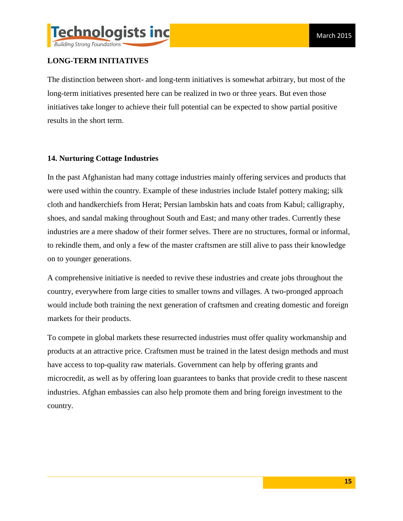

# **LONG-TERM INITIATIVES**

The distinction between short- and long-term initiatives is somewhat arbitrary, but most of the long-term initiatives presented here can be realized in two or three years. But even those initiatives take longer to achieve their full potential can be expected to show partial positive results in the short term.

# **14. Nurturing Cottage Industries**

In the past Afghanistan had many cottage industries mainly offering services and products that were used within the country. Example of these industries include Istalef pottery making; silk cloth and handkerchiefs from Herat; Persian lambskin hats and coats from Kabul; calligraphy, shoes, and sandal making throughout South and East; and many other trades. Currently these industries are a mere shadow of their former selves. There are no structures, formal or informal, to rekindle them, and only a few of the master craftsmen are still alive to pass their knowledge on to younger generations.

A comprehensive initiative is needed to revive these industries and create jobs throughout the country, everywhere from large cities to smaller towns and villages. A two-pronged approach would include both training the next generation of craftsmen and creating domestic and foreign markets for their products.

To compete in global markets these resurrected industries must offer quality workmanship and products at an attractive price. Craftsmen must be trained in the latest design methods and must have access to top-quality raw materials. Government can help by offering grants and microcredit, as well as by offering loan guarantees to banks that provide credit to these nascent industries. Afghan embassies can also help promote them and bring foreign investment to the country.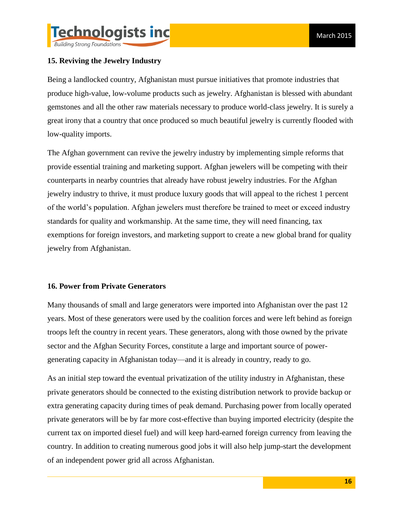# **15. Reviving the Jewelry Industry**

Being a landlocked country, Afghanistan must pursue initiatives that promote industries that produce high-value, low-volume products such as jewelry. Afghanistan is blessed with abundant gemstones and all the other raw materials necessary to produce world-class jewelry. It is surely a great irony that a country that once produced so much beautiful jewelry is currently flooded with low-quality imports.

The Afghan government can revive the jewelry industry by implementing simple reforms that provide essential training and marketing support. Afghan jewelers will be competing with their counterparts in nearby countries that already have robust jewelry industries. For the Afghan jewelry industry to thrive, it must produce luxury goods that will appeal to the richest 1 percent of the world's population. Afghan jewelers must therefore be trained to meet or exceed industry standards for quality and workmanship. At the same time, they will need financing, tax exemptions for foreign investors, and marketing support to create a new global brand for quality jewelry from Afghanistan.

#### **16. Power from Private Generators**

Many thousands of small and large generators were imported into Afghanistan over the past 12 years. Most of these generators were used by the coalition forces and were left behind as foreign troops left the country in recent years. These generators, along with those owned by the private sector and the Afghan Security Forces, constitute a large and important source of powergenerating capacity in Afghanistan today—and it is already in country, ready to go.

As an initial step toward the eventual privatization of the utility industry in Afghanistan, these private generators should be connected to the existing distribution network to provide backup or extra generating capacity during times of peak demand. Purchasing power from locally operated private generators will be by far more cost-effective than buying imported electricity (despite the current tax on imported diesel fuel) and will keep hard-earned foreign currency from leaving the country. In addition to creating numerous good jobs it will also help jump-start the development of an independent power grid all across Afghanistan.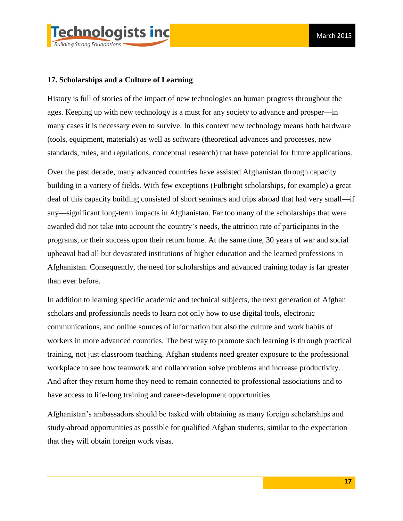

## **17. Scholarships and a Culture of Learning**

History is full of stories of the impact of new technologies on human progress throughout the ages. Keeping up with new technology is a must for any society to advance and prosper—in many cases it is necessary even to survive. In this context new technology means both hardware (tools, equipment, materials) as well as software (theoretical advances and processes, new standards, rules, and regulations, conceptual research) that have potential for future applications.

Over the past decade, many advanced countries have assisted Afghanistan through capacity building in a variety of fields. With few exceptions (Fulbright scholarships, for example) a great deal of this capacity building consisted of short seminars and trips abroad that had very small—if any—significant long-term impacts in Afghanistan. Far too many of the scholarships that were awarded did not take into account the country's needs, the attrition rate of participants in the programs, or their success upon their return home. At the same time, 30 years of war and social upheaval had all but devastated institutions of higher education and the learned professions in Afghanistan. Consequently, the need for scholarships and advanced training today is far greater than ever before.

In addition to learning specific academic and technical subjects, the next generation of Afghan scholars and professionals needs to learn not only how to use digital tools, electronic communications, and online sources of information but also the culture and work habits of workers in more advanced countries. The best way to promote such learning is through practical training, not just classroom teaching. Afghan students need greater exposure to the professional workplace to see how teamwork and collaboration solve problems and increase productivity. And after they return home they need to remain connected to professional associations and to have access to life-long training and career-development opportunities.

Afghanistan's ambassadors should be tasked with obtaining as many foreign scholarships and study-abroad opportunities as possible for qualified Afghan students, similar to the expectation that they will obtain foreign work visas.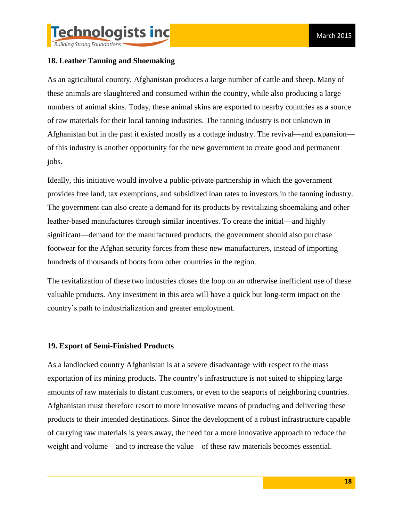

**Building Strong Foundations** 

# **18. Leather Tanning and Shoemaking**

As an agricultural country, Afghanistan produces a large number of cattle and sheep. Many of these animals are slaughtered and consumed within the country, while also producing a large numbers of animal skins. Today, these animal skins are exported to nearby countries as a source of raw materials for their local tanning industries. The tanning industry is not unknown in Afghanistan but in the past it existed mostly as a cottage industry. The revival—and expansion of this industry is another opportunity for the new government to create good and permanent jobs.

Ideally, this initiative would involve a public-private partnership in which the government provides free land, tax exemptions, and subsidized loan rates to investors in the tanning industry. The government can also create a demand for its products by revitalizing shoemaking and other leather-based manufactures through similar incentives. To create the initial—and highly significant—demand for the manufactured products, the government should also purchase footwear for the Afghan security forces from these new manufacturers, instead of importing hundreds of thousands of boots from other countries in the region.

The revitalization of these two industries closes the loop on an otherwise inefficient use of these valuable products. Any investment in this area will have a quick but long-term impact on the country's path to industrialization and greater employment.

# **19. Export of Semi-Finished Products**

As a landlocked country Afghanistan is at a severe disadvantage with respect to the mass exportation of its mining products. The country's infrastructure is not suited to shipping large amounts of raw materials to distant customers, or even to the seaports of neighboring countries. Afghanistan must therefore resort to more innovative means of producing and delivering these products to their intended destinations. Since the development of a robust infrastructure capable of carrying raw materials is years away, the need for a more innovative approach to reduce the weight and volume—and to increase the value—of these raw materials becomes essential.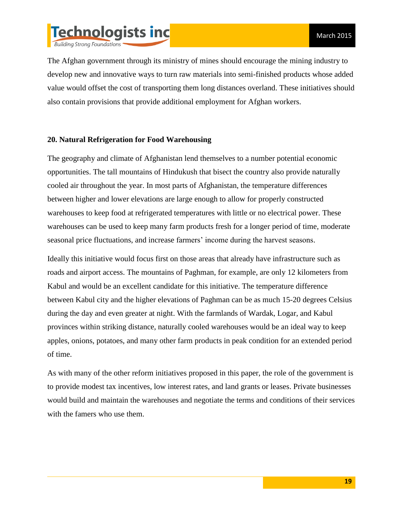

The Afghan government through its ministry of mines should encourage the mining industry to develop new and innovative ways to turn raw materials into semi-finished products whose added value would offset the cost of transporting them long distances overland. These initiatives should also contain provisions that provide additional employment for Afghan workers.

#### **20. Natural Refrigeration for Food Warehousing**

The geography and climate of Afghanistan lend themselves to a number potential economic opportunities. The tall mountains of Hindukush that bisect the country also provide naturally cooled air throughout the year. In most parts of Afghanistan, the temperature differences between higher and lower elevations are large enough to allow for properly constructed warehouses to keep food at refrigerated temperatures with little or no electrical power. These warehouses can be used to keep many farm products fresh for a longer period of time, moderate seasonal price fluctuations, and increase farmers' income during the harvest seasons.

Ideally this initiative would focus first on those areas that already have infrastructure such as roads and airport access. The mountains of Paghman, for example, are only 12 kilometers from Kabul and would be an excellent candidate for this initiative. The temperature difference between Kabul city and the higher elevations of Paghman can be as much 15-20 degrees Celsius during the day and even greater at night. With the farmlands of Wardak, Logar, and Kabul provinces within striking distance, naturally cooled warehouses would be an ideal way to keep apples, onions, potatoes, and many other farm products in peak condition for an extended period of time.

As with many of the other reform initiatives proposed in this paper, the role of the government is to provide modest tax incentives, low interest rates, and land grants or leases. Private businesses would build and maintain the warehouses and negotiate the terms and conditions of their services with the famers who use them.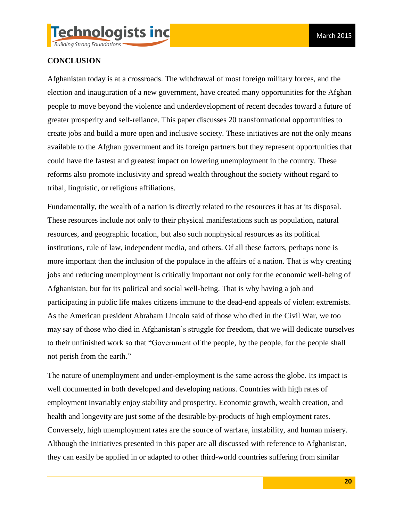

## **CONCLUSION**

Afghanistan today is at a crossroads. The withdrawal of most foreign military forces, and the election and inauguration of a new government, have created many opportunities for the Afghan people to move beyond the violence and underdevelopment of recent decades toward a future of greater prosperity and self-reliance. This paper discusses 20 transformational opportunities to create jobs and build a more open and inclusive society. These initiatives are not the only means available to the Afghan government and its foreign partners but they represent opportunities that could have the fastest and greatest impact on lowering unemployment in the country. These reforms also promote inclusivity and spread wealth throughout the society without regard to tribal, linguistic, or religious affiliations.

Fundamentally, the wealth of a nation is directly related to the resources it has at its disposal. These resources include not only to their physical manifestations such as population, natural resources, and geographic location, but also such nonphysical resources as its political institutions, rule of law, independent media, and others. Of all these factors, perhaps none is more important than the inclusion of the populace in the affairs of a nation. That is why creating jobs and reducing unemployment is critically important not only for the economic well-being of Afghanistan, but for its political and social well-being. That is why having a job and participating in public life makes citizens immune to the dead-end appeals of violent extremists. As the American president Abraham Lincoln said of those who died in the Civil War, we too may say of those who died in Afghanistan's struggle for freedom, that we will dedicate ourselves to their unfinished work so that "Government of the people, by the people, for the people shall not perish from the earth."

The nature of unemployment and under-employment is the same across the globe. Its impact is well documented in both developed and developing nations. Countries with high rates of employment invariably enjoy stability and prosperity. Economic growth, wealth creation, and health and longevity are just some of the desirable by-products of high employment rates. Conversely, high unemployment rates are the source of warfare, instability, and human misery. Although the initiatives presented in this paper are all discussed with reference to Afghanistan, they can easily be applied in or adapted to other third-world countries suffering from similar